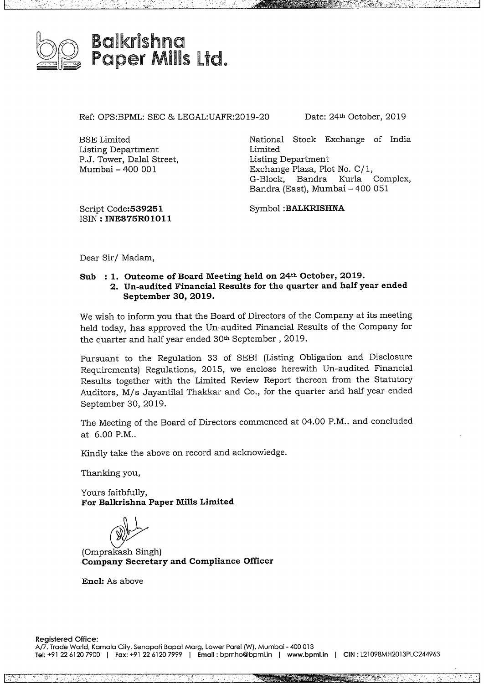

Ref: OPS:BPML: SEC & LEGAL:UAFR:2019-20 Date: 24<sup>th</sup> October, 2019

 $\cdot$ 

National Stock Exchange of India Limited Listing Department Exchange Plaza, Plot No. C/ 1, G-Block, Bandra Kurla Complex, G-Block, Bandra Kurla Complex,<br>Bandra (East), Mumbai – 400 051

Script **Code:539251** ISIN: **INE875R01011**

BSE Limited

Listing Department P.J. Tower, Dalal Street, Mumbai- <sup>400</sup> 001

Symbol **:BALKRISHNA**

Dear Sir/ Madam,

## **Sub :1. Outcome of Board Meeting held on 24h October, 2019. 2. Un-audited Financial Results for the quarter and half year ended September 30, 2019.**

We wish to inform you that the Board of Directors of the Company at its meeting held today, has approved the Un-audited Financial Results of the Company for the quarter and half year ended 30<sup>th</sup> September, 2019.

Pursuant to the Regulation 33 of SEBI (Listing Obligation and Disclosure Requirements) Regulations, 2015, we enclose herewith Un-audited Financial Results together with the Limited Review Report thereon from the Statutory Auditors, M/s Jayantilal Thakkar and Co., for the quarter and half year ended September 30, 2019.

The Meeting of the Board of Directors commenced at 04.00 P.M.. and concluded at 6.00 P.M..

Kindly take the above on record and acknowledge.

Thanking you,

Yours faithfully, **For Balkrishna Paper Mills Limited**

 $\bigcirc$ 

(Omprakash Singh) **Company Secretary and Compliance Officer**

**Encl:** As above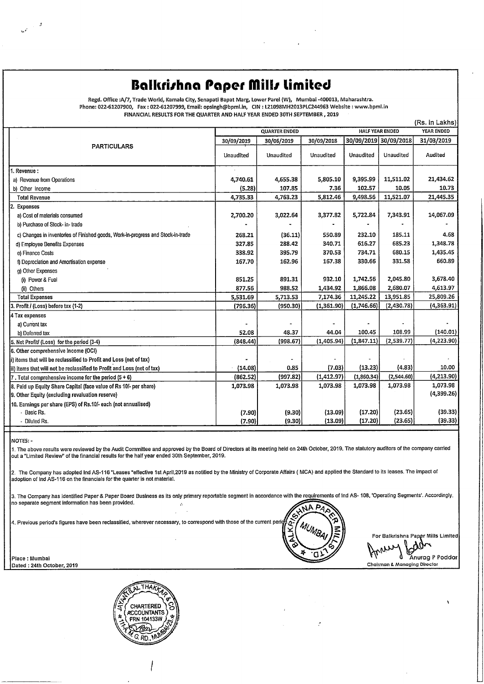# **Balkrirhna Paper fillr Limited**

a<br>. Regd. Office :A/7, Trade World, Kamala City, Senapati Bapat Marg, Lower Parel (W), Mumbai -400013, Maharashtra<br>«Phone: 022-61207900, Fax : 022-61207999, Email: opsingh@bpml.in, CIN : L21098MH2013PLC244963 Websit **FINANCIAL RESULTS FOR**THE **QUARTER AND HALF YEAR ENDED 30TH SEPTEMBER , 2019**

| <b>PARTICULARS</b>                                                               | <b>HALF YEAR ENDED</b><br><b>QUARTER ENDED</b> |            |            |                       |            | <b>YEAR ENDED</b> |  |
|----------------------------------------------------------------------------------|------------------------------------------------|------------|------------|-----------------------|------------|-------------------|--|
|                                                                                  | 30/09/2019                                     | 30/06/2019 | 30/09/2018 | 30/09/2019 30/09/2018 |            | 31/03/2019        |  |
|                                                                                  | Unaudited                                      | Unaudited  | Unaudited  | Unaudited             | Unaudited  | Audited           |  |
| 1. Revenue:                                                                      |                                                |            |            |                       |            |                   |  |
| a) Revenue from Operations                                                       | 4,740.61                                       | 4,655.38   | 5,805.10   | 9,395.99              | 11,511.02  | 21,434.62         |  |
| b) Other Income                                                                  | (5.28)                                         | 107.85     | 7.36       | 102.57                | 10.05      | 10.73             |  |
| <b>Total Revenue</b>                                                             | 4,735.33                                       | 4,763.23   | 5,812.46   | 9,498.56              | 11,521.07  | 21,445.35         |  |
| 2. Expenses                                                                      |                                                |            |            |                       |            |                   |  |
| a) Cost of materials consumed                                                    | 2,700.20                                       | 3,022.64   | 3,377.82   | 5,722.84              | 7,343.91   | 14,067.09         |  |
| b) Purchase of Stock- in- trade                                                  |                                                |            |            |                       |            |                   |  |
| c) Changes in inventories of Finished goods, Work-in-progress and Stock-in-trade | 268.21                                         | (36.11)    | 550.89     | 232.10                | 185.11     | 4.68              |  |
| d) Employee Benefits Expenses                                                    | 327.85                                         | 288.42     | 340.71     | 616.27                | 685.23     | 1,348.78          |  |
| e) Finance Costs                                                                 | 338.92                                         | 395.79     | 370.53     | 734.71                | 680.15     | 1,435.45          |  |
| f) Depreciation and Amortisation expense                                         | 167.70                                         | 162.96     | 167.38     | 330.66                | 331.58     | 660.89            |  |
| g) Other Expenses                                                                |                                                |            |            |                       |            |                   |  |
| (i) Power & Fuel                                                                 | 851.25                                         | 891.31     | 932.10     | 1,742.56              | 2,045.80   | 3,678.40          |  |
| (ii) Others                                                                      | 877.56                                         | 988.52     | 1,434.92   | 1,866.08              | 2,680.07   | 4,613.97          |  |
| <b>Total Expenses</b>                                                            | 5,531.69                                       | 5,713.53   | 7,174.36   | 11,245.22             | 13,951.85  | 25,809.26         |  |
| 3. Profit / (Loss) before tax (1-2)                                              | (796.36)                                       | (950.30)   | (1,361.90) | (1,746.66)            | (2,430.78) | (4,363.91)        |  |
| 4 Tax expenses                                                                   |                                                |            |            |                       |            |                   |  |
| a) Current tax                                                                   |                                                |            |            |                       |            |                   |  |
| b) Deferred tax                                                                  | 52.08                                          | 48.37      | 44.04      | 100.45                | 108.99     | (140.01)          |  |
| 5. Net Profit/ (Loss) for the period (3-4)                                       | (848.44)                                       | (998.67)   | (1,405.94) | (1,847.11)            | (2,539.77) | (4,223.90)        |  |
| 6. Other comprehensive Income (OCI)                                              |                                                |            |            |                       |            |                   |  |
| i) items that will be reclassified to Profit and Loss (net of tax)               |                                                |            |            |                       |            |                   |  |
| ii) items that will not be reclassified to Profit and Loss (net of tax)          | (14.08)                                        | 0.85       | (7.03)     | (13.23)               | (4.83)     | 10.00             |  |
| 7. Total comprehensive income for the period $(5 + 6)$                           | (862.52)                                       | (997.82)   | (1,412.97) | (1,860.34)            | (2,544.60) | (4,213.90)        |  |
| 8. Paid up Equity Share Capital (face value of Rs 10/- per share)                | 1,073.98                                       | 1,073.98   | 1,073.98   | 1,073.98              | 1,073.98   | 1.073.98          |  |
| 9. Other Equity (excluding revaluation reserve)                                  |                                                |            |            |                       |            | (4,399.26)        |  |
| 10. Earnings per share (EPS) of Rs.10/- each (not annualised)                    |                                                |            |            |                       |            |                   |  |
| - Basic Rs.                                                                      | (7.90)                                         | (9.30)     | (13.09)    | (17.20)               | (23.65)    | (39.33)           |  |
| - Diluted Rs.                                                                    | (7.90)                                         | (9.30)     | (13.09)    | (17.20)               | (23.65)    | (39.33)           |  |

**NOTES:** -

1. The above results were **reviewed** by the Audit Committee and approved by the Board of Directors at its meeting held on **24th** October, **2019.** The statutory auditors of the company carried out <sup>a</sup> "Limited **Review"** of the financial results forthe half **year** ended 30th September, **2019.**

2. The Company has adopted Ind AS-116"Leases "effective 1st April,2019 as notified by the Ministry of Corporate Affairs ( **MCA)** and applied the Standard to its leases. The impact of adoption of Ind AS-116 on the financials forthe quarter is not material.

3. The Company has identified Paper & Paper Board Business **as its** only primary reportable segment In accordance **with the** requirements of Ind AS- 108, 'Operating Segments'. Accordingly, no separate segment information has been provided. Place : Mumbai<br>Place : Mumbai<br>Place : Mumbai<br>Place : Mumbai<br>Place : Mumbai



For Balkrishna Paper Mills Limited

For Balkrishna Paper Mills Limited<br>MANURA Anurag P Poddar<br>Chairman & Managing Director

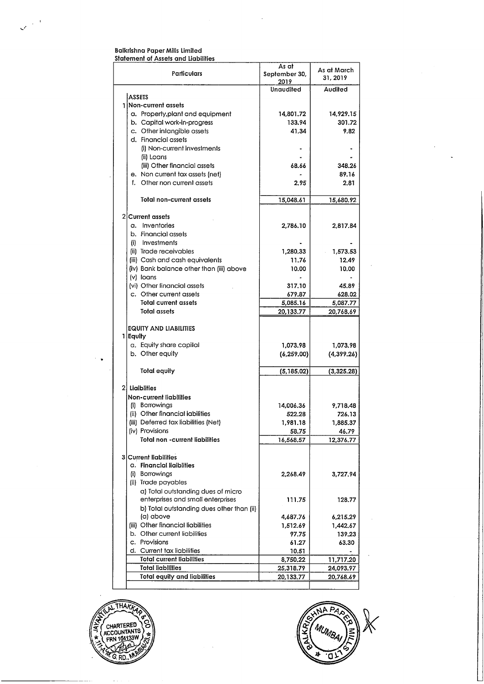#### Balkrishna Paper Mills Limited Statement of Assets and Liabilities

|                                           | As at         | As at March |  |
|-------------------------------------------|---------------|-------------|--|
| Particulars                               | September 30, | 31, 2019    |  |
|                                           | 2019          |             |  |
|                                           | Unaudited     | Audited     |  |
| <b>ASSETS</b>                             |               |             |  |
| 1 Non-current assets                      |               |             |  |
| a. Property, plant and equipment          | 14,801.72     | 14,929.15   |  |
| b. Capital work-in-progress               | 133.94        | 301.72      |  |
| c. Other intangible assets                | 41.34         | 9.82        |  |
| d. Financial assets                       |               |             |  |
| (i) Non-current investments               |               |             |  |
|                                           |               |             |  |
| (ii) Loans                                |               |             |  |
| (iii) Other financial assets              | 68.66         | 348.26      |  |
| e. Non current tax assets (net)           |               | 89.16       |  |
| f.<br>Other non current assets            | 2.95          | 2.81        |  |
|                                           |               |             |  |
| Total non-current assets                  | 15,048.61     | 15,680.92   |  |
|                                           |               |             |  |
| 2 Current assets                          |               |             |  |
| a. Inventories                            | 2,786.10      | 2,817.84    |  |
|                                           |               |             |  |
| b. Financial assets                       |               |             |  |
| (i) Investments                           |               |             |  |
| (ii) Trade receivables                    | 1,280.33      | 1,573.53    |  |
| (iii) Cash and cash equivalents           | 11.76         | 12.49       |  |
| (iv) Bank balance other than (iii) above  | 10.00         | 10.00       |  |
| (v) loans                                 |               |             |  |
| (vi) Other financial assets               | 317.10        | 45.89       |  |
| c. Other current assets                   |               |             |  |
|                                           | 679.87        | 628.02      |  |
| <b>Total current assets</b>               | 5,085.16      | 5,087.77    |  |
| Total assets                              | 20,133.77     | 20,768.69   |  |
|                                           |               |             |  |
| <b>EQUITY AND LIABILITIES</b>             |               |             |  |
| 1 Equity                                  |               |             |  |
| a. Equity share capital                   | 1,073.98      | 1,073.98    |  |
| b. Other equity                           | (6, 259.00)   | (4,399.26)  |  |
|                                           |               |             |  |
| <b>Total equity</b>                       | (5,185.02)    | (3,325.28)  |  |
|                                           |               |             |  |
|                                           |               |             |  |
| 2) Liaiblities                            |               |             |  |
| Non-current liabilities                   |               |             |  |
| (i) Borrowings                            | 14,006.36     | 9,718.48    |  |
| (ii) Other financial iabilities           | 522.28        | 726.13      |  |
| (iii) Deferred tax liabilities (Net)      | 1,981.18      | 1,885.37    |  |
| (iv) Provisions                           | 58.75         | 46.79       |  |
| Total non -current liabilities            | 16,568.57     | 12,376.77   |  |
|                                           |               |             |  |
|                                           |               |             |  |
| 3 Current liabilities                     |               |             |  |
| a. Financial liaiblities                  |               |             |  |
| (i) Borrowings                            | 2,268.49      | 3,727.94    |  |
| (ii) Trade payables                       |               |             |  |
| a) Total outstanding dues of micro        |               |             |  |
| enterprises and small enterprises         | 111.75        | 128.77      |  |
|                                           |               |             |  |
| b) Total outstanding dues other than (ii) |               |             |  |
| (a) above                                 | 4,687.76      | 6,215.29    |  |
| (iii) Other financial liabilities         | 1,512.69      | 1,442.67    |  |
| b. Other current liabilities              | 97.75         | 139.23      |  |
| c. Provisions                             | 61.27         | 63.30       |  |
| d. Current tax liabilities                | 10.51         |             |  |
| <b>Total current liabilities</b>          | 8,750.22      | 11,717.20   |  |
| <b>Total liabilities</b>                  | 25,318.79     | 24,093.97   |  |
| <b>Total equity and liabilities</b>       | 20,133.77     | 20,768.69   |  |
|                                           |               |             |  |

 $\ddot{\phantom{a}}$ 



 $\ddot{\phantom{0}}$ 

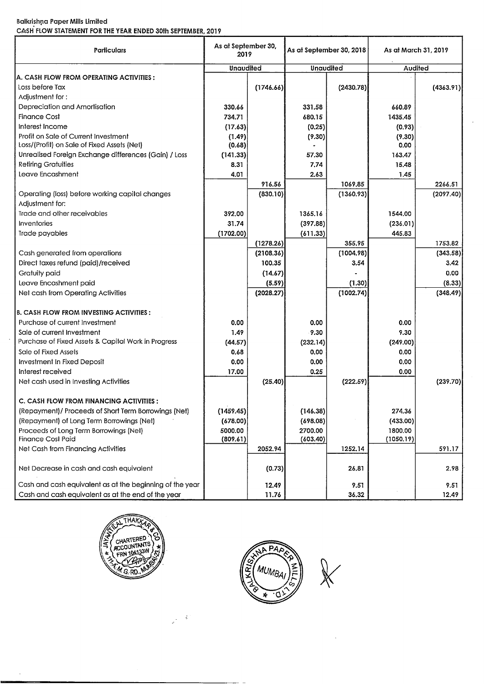### Balkrishna Paper Mills Limited CASH FLOW STATEMENT FOR THE YEAR ENDED 30Ih SEPTEMBER,2019

| Particulars                                              | As at September 30,<br>2019 |           | As at September 30, 2018 |           | As at March 31, 2019 |           |
|----------------------------------------------------------|-----------------------------|-----------|--------------------------|-----------|----------------------|-----------|
|                                                          | Unaudited                   |           | Unaudited                |           | Audited              |           |
| A. CASH FLOW FROM OPERATING ACTIVITIES :                 |                             |           |                          |           |                      |           |
| Loss before Tax                                          |                             | (1746.66) |                          | (2430.78) |                      | (4363.91) |
| Adjustment for:                                          |                             |           |                          |           |                      |           |
| Depreciation and Amortisation                            | 330.66                      |           | 331.58                   |           | 660.89               |           |
| <b>Finance Cost</b>                                      | 734.71                      |           | 680.15                   |           | 1435.45              |           |
| Interest Income                                          | (17.63)                     |           | (0.25)                   |           | (0.93)               |           |
| Profit on Sale of Current Investment                     | (1.49)                      |           | (9.30)                   |           | (9.30)               |           |
| Loss/(Profit) on Sale of Fixed Assets (Net)              | (0.68)                      |           |                          |           | 0.00                 |           |
| Unrealised Foreign Exchange differences (Gain) / Loss    | (141.33)                    |           | 57.30                    |           | 163.47               |           |
| <b>Retiring Gratuities</b>                               | 8.31                        |           | 7.74                     |           | 15.48                |           |
| Leave Encashment                                         | 4.01                        |           | 2.63                     |           | 1.45                 |           |
|                                                          |                             | 916.56    |                          | 1069.85   |                      | 2266.51   |
| Operating (loss) before working capital changes          |                             | (830.10)  |                          | (1360.93) |                      | (2097.40) |
| Adiustment for:                                          |                             |           |                          |           |                      |           |
| Trade and other receivables                              | 392.00                      |           | 1365.16                  |           | 1544.00              |           |
| Inventories                                              | 31.74                       |           | (397.88)                 |           | (236.01)             |           |
| Trade payables                                           | (1702.00)                   |           | (611.33)                 |           | 445.83               |           |
|                                                          |                             | (1278.26) |                          | 355,95    |                      | 1753.82   |
| Cash generated from operations                           |                             | (2108.36) |                          | (1004.98) |                      | (343.58)  |
| Direct taxes refund (paid)/received                      |                             | 100.35    |                          | 3.54      |                      | 3.42      |
| Gratuity paid                                            |                             | (14.67)   |                          |           |                      | 0.00      |
| Leave Encashment paid                                    |                             | (5.59)    |                          | (1.30)    |                      | (8.33)    |
| Net cash from Operating Activities                       |                             | (2028.27) |                          | (1002.74) |                      | (348.49)  |
| B. CASH FLOW FROM INVESTING ACTIVITIES :                 |                             |           |                          |           |                      |           |
| Purchase of current Investment                           | 0.00                        |           | 0.00                     |           | 0.00                 |           |
| Sale of current Investment                               | 1.49                        |           | 9.30                     |           | 9.30                 |           |
| Purchase of Fixed Assets & Capital Work in Progress      | (44.57)                     |           | (232.14)                 |           | (249.00)             |           |
| Sale of Fixed Assets                                     | 0.68                        |           | 0.00                     |           | 0.00                 |           |
| Investment In Fixed Deposit                              | 0.00                        |           | 0.00                     |           | 0.00                 |           |
| Interest received                                        | 17.00                       |           | 0.25                     |           | 0.00                 |           |
| Net cash used in Investing Activities                    |                             | (25.40)   |                          | (222.59)  |                      | (239.70)  |
| C. CASH FLOW FROM FINANCING ACTIVITIES:                  |                             |           |                          |           |                      |           |
| (Repayment)/ Proceeds of Short Term Borrowings (Net)     | (1459.45)                   |           | (146.38)                 |           | 274.36               |           |
| (Repayment) of Long Term Borrowings (Net)                | (678.00)                    |           | (698.08)                 |           |                      |           |
| Proceeds of Long Term Borrowings (Net)                   | 5000.00                     |           | 2700.00                  |           | (433.00)<br>1800.00  |           |
| <b>Finance Cost Paid</b>                                 | (809.61)                    |           | (603.40)                 |           | (1050.19)            |           |
| Net Cash from Financing Activities                       |                             | 2052.94   |                          | 1252.14   |                      | 591.17    |
|                                                          |                             |           |                          |           |                      |           |
| Net Decrease in cash and cash equivalent                 |                             | (0.73)    |                          | 26.81     |                      | 2.98      |
| Cash and cash equivalent as at the beginning of the year |                             | 12.49     |                          | 9.51      |                      | 9.51      |
| Cash and cash equivalent as at the end of the year       |                             | 11.76     |                          | 36.32     |                      | 12.49     |



 $\ddot{\phi}$  $\frac{1}{2}$ 

 $\ddot{\phantom{a}}$